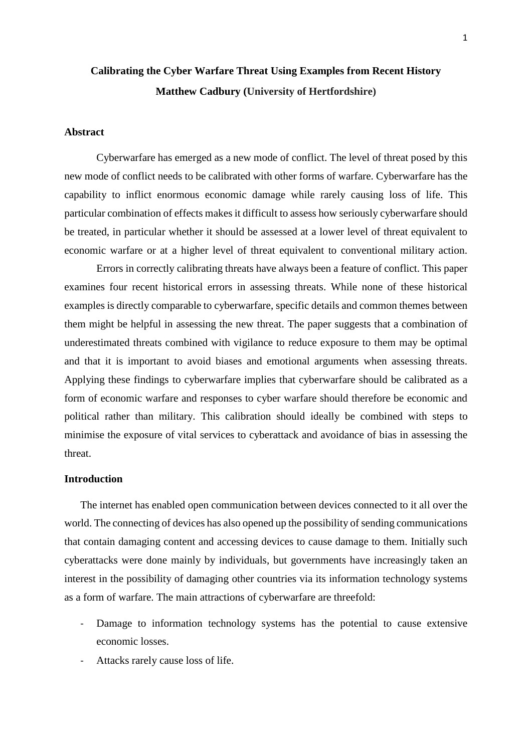# **Calibrating the Cyber Warfare Threat Using Examples from Recent History Matthew Cadbury (University of Hertfordshire)**

# **Abstract**

Cyberwarfare has emerged as a new mode of conflict. The level of threat posed by this new mode of conflict needs to be calibrated with other forms of warfare. Cyberwarfare has the capability to inflict enormous economic damage while rarely causing loss of life. This particular combination of effects makes it difficult to assess how seriously cyberwarfare should be treated, in particular whether it should be assessed at a lower level of threat equivalent to economic warfare or at a higher level of threat equivalent to conventional military action.

 Errors in correctly calibrating threats have always been a feature of conflict. This paper examines four recent historical errors in assessing threats. While none of these historical examples is directly comparable to cyberwarfare, specific details and common themes between them might be helpful in assessing the new threat. The paper suggests that a combination of underestimated threats combined with vigilance to reduce exposure to them may be optimal and that it is important to avoid biases and emotional arguments when assessing threats. Applying these findings to cyberwarfare implies that cyberwarfare should be calibrated as a form of economic warfare and responses to cyber warfare should therefore be economic and political rather than military. This calibration should ideally be combined with steps to minimise the exposure of vital services to cyberattack and avoidance of bias in assessing the threat.

#### **Introduction**

The internet has enabled open communication between devices connected to it all over the world. The connecting of devices has also opened up the possibility of sending communications that contain damaging content and accessing devices to cause damage to them. Initially such cyberattacks were done mainly by individuals, but governments have increasingly taken an interest in the possibility of damaging other countries via its information technology systems as a form of warfare. The main attractions of cyberwarfare are threefold:

- Damage to information technology systems has the potential to cause extensive economic losses.
- Attacks rarely cause loss of life.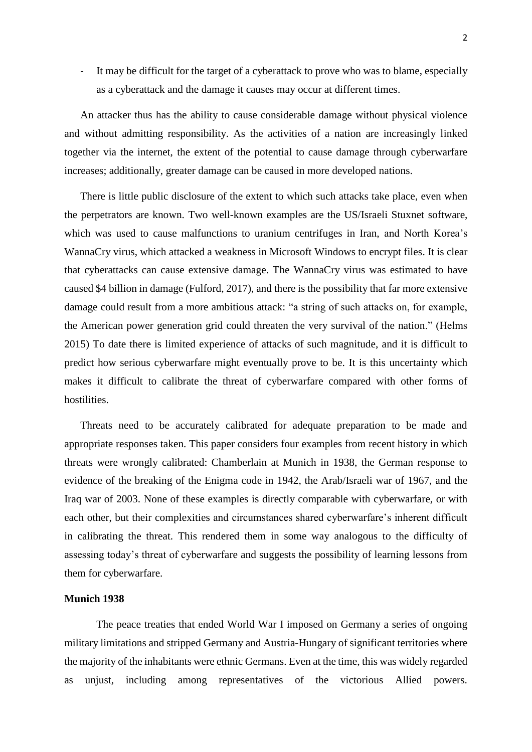- It may be difficult for the target of a cyberattack to prove who was to blame, especially as a cyberattack and the damage it causes may occur at different times.

An attacker thus has the ability to cause considerable damage without physical violence and without admitting responsibility. As the activities of a nation are increasingly linked together via the internet, the extent of the potential to cause damage through cyberwarfare increases; additionally, greater damage can be caused in more developed nations.

There is little public disclosure of the extent to which such attacks take place, even when the perpetrators are known. Two well-known examples are the US/Israeli Stuxnet software, which was used to cause malfunctions to uranium centrifuges in Iran, and North Korea's WannaCry virus, which attacked a weakness in Microsoft Windows to encrypt files. It is clear that cyberattacks can cause extensive damage. The WannaCry virus was estimated to have caused \$4 billion in damage (Fulford, 2017), and there is the possibility that far more extensive damage could result from a more ambitious attack: "a string of such attacks on, for example, the American power generation grid could threaten the very survival of the nation." (Helms 2015) To date there is limited experience of attacks of such magnitude, and it is difficult to predict how serious cyberwarfare might eventually prove to be. It is this uncertainty which makes it difficult to calibrate the threat of cyberwarfare compared with other forms of hostilities.

Threats need to be accurately calibrated for adequate preparation to be made and appropriate responses taken. This paper considers four examples from recent history in which threats were wrongly calibrated: Chamberlain at Munich in 1938, the German response to evidence of the breaking of the Enigma code in 1942, the Arab/Israeli war of 1967, and the Iraq war of 2003. None of these examples is directly comparable with cyberwarfare, or with each other, but their complexities and circumstances shared cyberwarfare's inherent difficult in calibrating the threat. This rendered them in some way analogous to the difficulty of assessing today's threat of cyberwarfare and suggests the possibility of learning lessons from them for cyberwarfare.

#### **Munich 1938**

The peace treaties that ended World War I imposed on Germany a series of ongoing military limitations and stripped Germany and Austria-Hungary of significant territories where the majority of the inhabitants were ethnic Germans. Even at the time, this was widely regarded as unjust, including among representatives of the victorious Allied powers.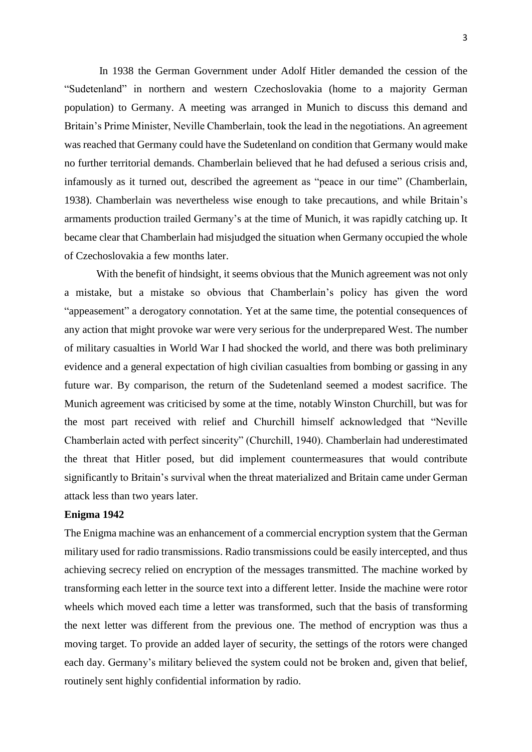In 1938 the German Government under Adolf Hitler demanded the cession of the "Sudetenland" in northern and western Czechoslovakia (home to a majority German population) to Germany. A meeting was arranged in Munich to discuss this demand and Britain's Prime Minister, Neville Chamberlain, took the lead in the negotiations. An agreement was reached that Germany could have the Sudetenland on condition that Germany would make no further territorial demands. Chamberlain believed that he had defused a serious crisis and, infamously as it turned out, described the agreement as "peace in our time" (Chamberlain, 1938). Chamberlain was nevertheless wise enough to take precautions, and while Britain's armaments production trailed Germany's at the time of Munich, it was rapidly catching up. It became clear that Chamberlain had misjudged the situation when Germany occupied the whole of Czechoslovakia a few months later.

With the benefit of hindsight, it seems obvious that the Munich agreement was not only a mistake, but a mistake so obvious that Chamberlain's policy has given the word "appeasement" a derogatory connotation. Yet at the same time, the potential consequences of any action that might provoke war were very serious for the underprepared West. The number of military casualties in World War I had shocked the world, and there was both preliminary evidence and a general expectation of high civilian casualties from bombing or gassing in any future war. By comparison, the return of the Sudetenland seemed a modest sacrifice. The Munich agreement was criticised by some at the time, notably Winston Churchill, but was for the most part received with relief and Churchill himself acknowledged that "Neville Chamberlain acted with perfect sincerity" (Churchill, 1940). Chamberlain had underestimated the threat that Hitler posed, but did implement countermeasures that would contribute significantly to Britain's survival when the threat materialized and Britain came under German attack less than two years later.

## **Enigma 1942**

The Enigma machine was an enhancement of a commercial encryption system that the German military used for radio transmissions. Radio transmissions could be easily intercepted, and thus achieving secrecy relied on encryption of the messages transmitted. The machine worked by transforming each letter in the source text into a different letter. Inside the machine were rotor wheels which moved each time a letter was transformed, such that the basis of transforming the next letter was different from the previous one. The method of encryption was thus a moving target. To provide an added layer of security, the settings of the rotors were changed each day. Germany's military believed the system could not be broken and, given that belief, routinely sent highly confidential information by radio.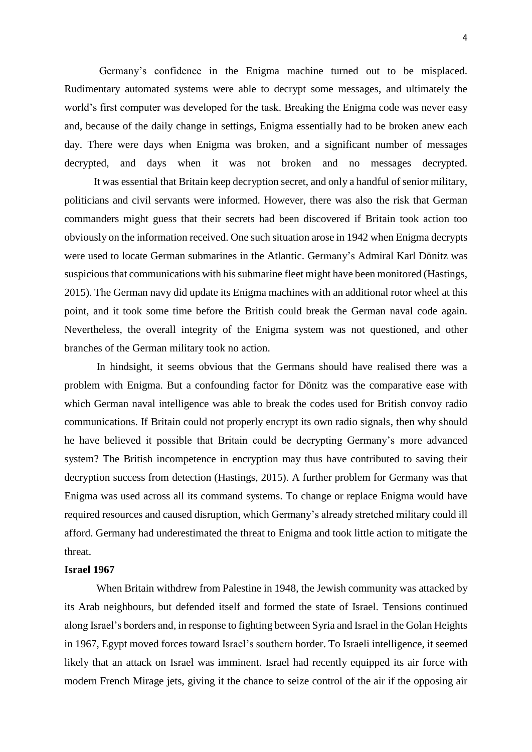Germany's confidence in the Enigma machine turned out to be misplaced. Rudimentary automated systems were able to decrypt some messages, and ultimately the world's first computer was developed for the task. Breaking the Enigma code was never easy and, because of the daily change in settings, Enigma essentially had to be broken anew each day. There were days when Enigma was broken, and a significant number of messages decrypted, and days when it was not broken and no messages decrypted.

 It was essential that Britain keep decryption secret, and only a handful of senior military, politicians and civil servants were informed. However, there was also the risk that German commanders might guess that their secrets had been discovered if Britain took action too obviously on the information received. One such situation arose in 1942 when Enigma decrypts were used to locate German submarines in the Atlantic. Germany's Admiral Karl Dönitz was suspicious that communications with his submarine fleet might have been monitored (Hastings, 2015). The German navy did update its Enigma machines with an additional rotor wheel at this point, and it took some time before the British could break the German naval code again. Nevertheless, the overall integrity of the Enigma system was not questioned, and other branches of the German military took no action.

 In hindsight, it seems obvious that the Germans should have realised there was a problem with Enigma. But a confounding factor for Dönitz was the comparative ease with which German naval intelligence was able to break the codes used for British convoy radio communications. If Britain could not properly encrypt its own radio signals, then why should he have believed it possible that Britain could be decrypting Germany's more advanced system? The British incompetence in encryption may thus have contributed to saving their decryption success from detection (Hastings, 2015). A further problem for Germany was that Enigma was used across all its command systems. To change or replace Enigma would have required resources and caused disruption, which Germany's already stretched military could ill afford. Germany had underestimated the threat to Enigma and took little action to mitigate the threat.

#### **Israel 1967**

When Britain withdrew from Palestine in 1948, the Jewish community was attacked by its Arab neighbours, but defended itself and formed the state of Israel. Tensions continued along Israel's borders and, in response to fighting between Syria and Israel in the Golan Heights in 1967, Egypt moved forces toward Israel's southern border. To Israeli intelligence, it seemed likely that an attack on Israel was imminent. Israel had recently equipped its air force with modern French Mirage jets, giving it the chance to seize control of the air if the opposing air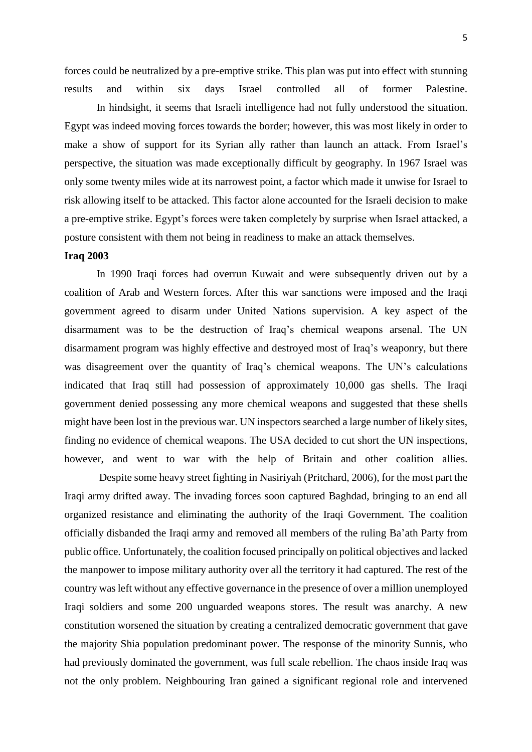forces could be neutralized by a pre-emptive strike. This plan was put into effect with stunning results and within six days Israel controlled all of former Palestine.

 In hindsight, it seems that Israeli intelligence had not fully understood the situation. Egypt was indeed moving forces towards the border; however, this was most likely in order to make a show of support for its Syrian ally rather than launch an attack. From Israel's perspective, the situation was made exceptionally difficult by geography. In 1967 Israel was only some twenty miles wide at its narrowest point, a factor which made it unwise for Israel to risk allowing itself to be attacked. This factor alone accounted for the Israeli decision to make a pre-emptive strike. Egypt's forces were taken completely by surprise when Israel attacked, a posture consistent with them not being in readiness to make an attack themselves.

#### **Iraq 2003**

 In 1990 Iraqi forces had overrun Kuwait and were subsequently driven out by a coalition of Arab and Western forces. After this war sanctions were imposed and the Iraqi government agreed to disarm under United Nations supervision. A key aspect of the disarmament was to be the destruction of Iraq's chemical weapons arsenal. The UN disarmament program was highly effective and destroyed most of Iraq's weaponry, but there was disagreement over the quantity of Iraq's chemical weapons. The UN's calculations indicated that Iraq still had possession of approximately 10,000 gas shells. The Iraqi government denied possessing any more chemical weapons and suggested that these shells might have been lost in the previous war. UN inspectors searched a large number of likely sites, finding no evidence of chemical weapons. The USA decided to cut short the UN inspections, however, and went to war with the help of Britain and other coalition allies.

 Despite some heavy street fighting in Nasiriyah (Pritchard, 2006), for the most part the Iraqi army drifted away. The invading forces soon captured Baghdad, bringing to an end all organized resistance and eliminating the authority of the Iraqi Government. The coalition officially disbanded the Iraqi army and removed all members of the ruling Ba'ath Party from public office. Unfortunately, the coalition focused principally on political objectives and lacked the manpower to impose military authority over all the territory it had captured. The rest of the country was left without any effective governance in the presence of over a million unemployed Iraqi soldiers and some 200 unguarded weapons stores. The result was anarchy. A new constitution worsened the situation by creating a centralized democratic government that gave the majority Shia population predominant power. The response of the minority Sunnis, who had previously dominated the government, was full scale rebellion. The chaos inside Iraq was not the only problem. Neighbouring Iran gained a significant regional role and intervened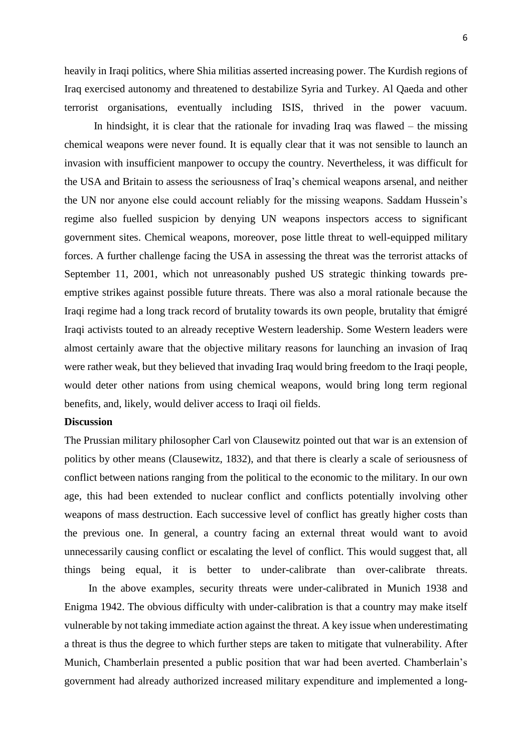heavily in Iraqi politics, where Shia militias asserted increasing power. The Kurdish regions of Iraq exercised autonomy and threatened to destabilize Syria and Turkey. Al Qaeda and other terrorist organisations, eventually including ISIS, thrived in the power vacuum.

In hindsight, it is clear that the rationale for invading Iraq was flawed  $-$  the missing chemical weapons were never found. It is equally clear that it was not sensible to launch an invasion with insufficient manpower to occupy the country. Nevertheless, it was difficult for the USA and Britain to assess the seriousness of Iraq's chemical weapons arsenal, and neither the UN nor anyone else could account reliably for the missing weapons. Saddam Hussein's regime also fuelled suspicion by denying UN weapons inspectors access to significant government sites. Chemical weapons, moreover, pose little threat to well-equipped military forces. A further challenge facing the USA in assessing the threat was the terrorist attacks of September 11, 2001, which not unreasonably pushed US strategic thinking towards preemptive strikes against possible future threats. There was also a moral rationale because the Iraqi regime had a long track record of brutality towards its own people, brutality that émigré Iraqi activists touted to an already receptive Western leadership. Some Western leaders were almost certainly aware that the objective military reasons for launching an invasion of Iraq were rather weak, but they believed that invading Iraq would bring freedom to the Iraqi people, would deter other nations from using chemical weapons, would bring long term regional benefits, and, likely, would deliver access to Iraqi oil fields.

## **Discussion**

The Prussian military philosopher Carl von Clausewitz pointed out that war is an extension of politics by other means (Clausewitz, 1832), and that there is clearly a scale of seriousness of conflict between nations ranging from the political to the economic to the military. In our own age, this had been extended to nuclear conflict and conflicts potentially involving other weapons of mass destruction. Each successive level of conflict has greatly higher costs than the previous one. In general, a country facing an external threat would want to avoid unnecessarily causing conflict or escalating the level of conflict. This would suggest that, all things being equal, it is better to under-calibrate than over-calibrate threats.

 In the above examples, security threats were under-calibrated in Munich 1938 and Enigma 1942. The obvious difficulty with under-calibration is that a country may make itself vulnerable by not taking immediate action against the threat. A key issue when underestimating a threat is thus the degree to which further steps are taken to mitigate that vulnerability. After Munich, Chamberlain presented a public position that war had been averted. Chamberlain's government had already authorized increased military expenditure and implemented a long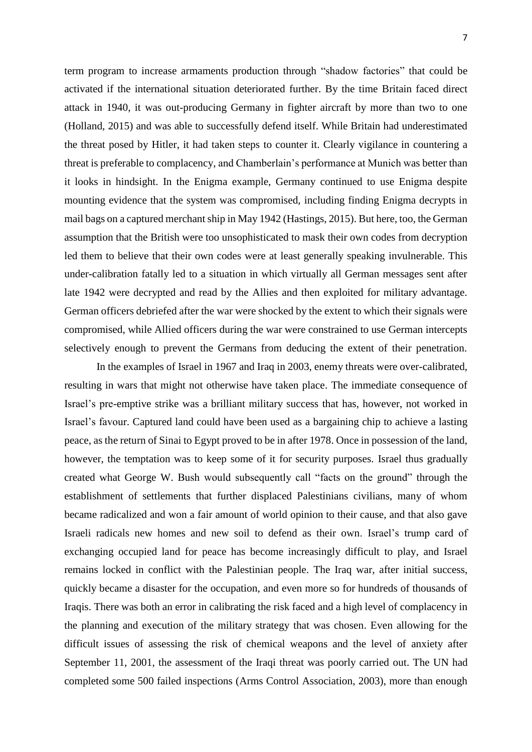term program to increase armaments production through "shadow factories" that could be activated if the international situation deteriorated further. By the time Britain faced direct attack in 1940, it was out-producing Germany in fighter aircraft by more than two to one (Holland, 2015) and was able to successfully defend itself. While Britain had underestimated the threat posed by Hitler, it had taken steps to counter it. Clearly vigilance in countering a threat is preferable to complacency, and Chamberlain's performance at Munich was better than it looks in hindsight. In the Enigma example, Germany continued to use Enigma despite mounting evidence that the system was compromised, including finding Enigma decrypts in mail bags on a captured merchant ship in May 1942 (Hastings, 2015). But here, too, the German assumption that the British were too unsophisticated to mask their own codes from decryption led them to believe that their own codes were at least generally speaking invulnerable. This under-calibration fatally led to a situation in which virtually all German messages sent after late 1942 were decrypted and read by the Allies and then exploited for military advantage. German officers debriefed after the war were shocked by the extent to which their signals were compromised, while Allied officers during the war were constrained to use German intercepts selectively enough to prevent the Germans from deducing the extent of their penetration.

 In the examples of Israel in 1967 and Iraq in 2003, enemy threats were over-calibrated, resulting in wars that might not otherwise have taken place. The immediate consequence of Israel's pre-emptive strike was a brilliant military success that has, however, not worked in Israel's favour. Captured land could have been used as a bargaining chip to achieve a lasting peace, as the return of Sinai to Egypt proved to be in after 1978. Once in possession of the land, however, the temptation was to keep some of it for security purposes. Israel thus gradually created what George W. Bush would subsequently call "facts on the ground" through the establishment of settlements that further displaced Palestinians civilians, many of whom became radicalized and won a fair amount of world opinion to their cause, and that also gave Israeli radicals new homes and new soil to defend as their own. Israel's trump card of exchanging occupied land for peace has become increasingly difficult to play, and Israel remains locked in conflict with the Palestinian people. The Iraq war, after initial success, quickly became a disaster for the occupation, and even more so for hundreds of thousands of Iraqis. There was both an error in calibrating the risk faced and a high level of complacency in the planning and execution of the military strategy that was chosen. Even allowing for the difficult issues of assessing the risk of chemical weapons and the level of anxiety after September 11, 2001, the assessment of the Iraqi threat was poorly carried out. The UN had completed some 500 failed inspections (Arms Control Association, 2003), more than enough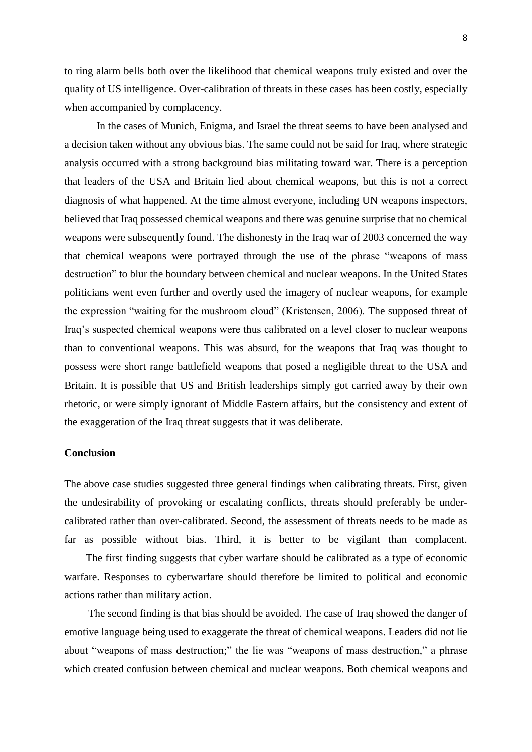to ring alarm bells both over the likelihood that chemical weapons truly existed and over the quality of US intelligence. Over-calibration of threats in these cases has been costly, especially when accompanied by complacency.

 In the cases of Munich, Enigma, and Israel the threat seems to have been analysed and a decision taken without any obvious bias. The same could not be said for Iraq, where strategic analysis occurred with a strong background bias militating toward war. There is a perception that leaders of the USA and Britain lied about chemical weapons, but this is not a correct diagnosis of what happened. At the time almost everyone, including UN weapons inspectors, believed that Iraq possessed chemical weapons and there was genuine surprise that no chemical weapons were subsequently found. The dishonesty in the Iraq war of 2003 concerned the way that chemical weapons were portrayed through the use of the phrase "weapons of mass destruction" to blur the boundary between chemical and nuclear weapons. In the United States politicians went even further and overtly used the imagery of nuclear weapons, for example the expression "waiting for the mushroom cloud" (Kristensen, 2006). The supposed threat of Iraq's suspected chemical weapons were thus calibrated on a level closer to nuclear weapons than to conventional weapons. This was absurd, for the weapons that Iraq was thought to possess were short range battlefield weapons that posed a negligible threat to the USA and Britain. It is possible that US and British leaderships simply got carried away by their own rhetoric, or were simply ignorant of Middle Eastern affairs, but the consistency and extent of the exaggeration of the Iraq threat suggests that it was deliberate.

## **Conclusion**

The above case studies suggested three general findings when calibrating threats. First, given the undesirability of provoking or escalating conflicts, threats should preferably be undercalibrated rather than over-calibrated. Second, the assessment of threats needs to be made as far as possible without bias. Third, it is better to be vigilant than complacent.

 The first finding suggests that cyber warfare should be calibrated as a type of economic warfare. Responses to cyberwarfare should therefore be limited to political and economic actions rather than military action.

 The second finding is that bias should be avoided. The case of Iraq showed the danger of emotive language being used to exaggerate the threat of chemical weapons. Leaders did not lie about "weapons of mass destruction;" the lie was "weapons of mass destruction," a phrase which created confusion between chemical and nuclear weapons. Both chemical weapons and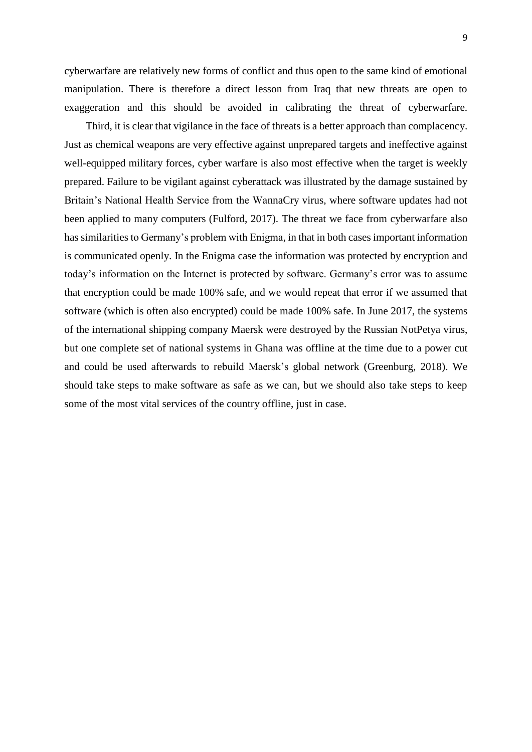cyberwarfare are relatively new forms of conflict and thus open to the same kind of emotional manipulation. There is therefore a direct lesson from Iraq that new threats are open to exaggeration and this should be avoided in calibrating the threat of cyberwarfare.

 Third, it is clear that vigilance in the face of threats is a better approach than complacency. Just as chemical weapons are very effective against unprepared targets and ineffective against well-equipped military forces, cyber warfare is also most effective when the target is weekly prepared. Failure to be vigilant against cyberattack was illustrated by the damage sustained by Britain's National Health Service from the WannaCry virus, where software updates had not been applied to many computers (Fulford, 2017). The threat we face from cyberwarfare also has similarities to Germany's problem with Enigma, in that in both cases important information is communicated openly. In the Enigma case the information was protected by encryption and today's information on the Internet is protected by software. Germany's error was to assume that encryption could be made 100% safe, and we would repeat that error if we assumed that software (which is often also encrypted) could be made 100% safe. In June 2017, the systems of the international shipping company Maersk were destroyed by the Russian NotPetya virus, but one complete set of national systems in Ghana was offline at the time due to a power cut and could be used afterwards to rebuild Maersk's global network (Greenburg, 2018). We should take steps to make software as safe as we can, but we should also take steps to keep some of the most vital services of the country offline, just in case.